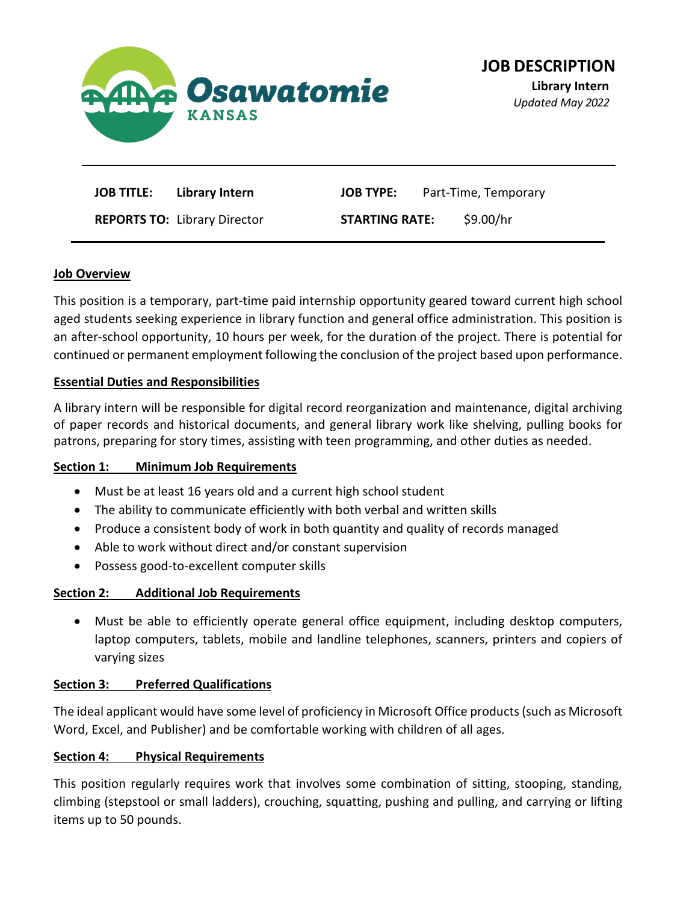

| <b>JOB TITLE:</b> Library Intern    | <b>JOB TYPE:</b> Part-Time, Temporary |
|-------------------------------------|---------------------------------------|
| <b>REPORTS TO: Library Director</b> | S9.00/hr<br><b>STARTING RATE:</b>     |

#### **Job Overview**

This position is a temporary, part-time paid internship opportunity geared toward current high school aged students seeking experience in library function and general office administration. This position is an after-school opportunity, 10 hours per week, for the duration of the project. There is potential for continued or permanent employment following the conclusion of the project based upon performance.

### **Essential Duties and Responsibilities**

A library intern will be responsible for digital record reorganization and maintenance, digital archiving of paper records and historical documents, and general library work like shelving, pulling books for patrons, preparing for story times, assisting with teen programming, and other duties as needed.

#### **Section 1: Minimum Job Requirements**

- Must be at least 16 years old and a current high school student
- The ability to communicate efficiently with both verbal and written skills
- Produce a consistent body of work in both quantity and quality of records managed
- Able to work without direct and/or constant supervision
- Possess good-to-excellent computer skills

## **Section 2: Additional Job Requirements**

• Must be able to efficiently operate general office equipment, including desktop computers, laptop computers, tablets, mobile and landline telephones, scanners, printers and copiers of varying sizes

## **Section 3: Preferred Qualifications**

The ideal applicant would have some level of proficiency in Microsoft Office products (such as Microsoft Word, Excel, and Publisher) and be comfortable working with children of all ages.

## **Section 4: Physical Requirements**

This position regularly requires work that involves some combination of sitting, stooping, standing, climbing (stepstool or small ladders), crouching, squatting, pushing and pulling, and carrying or lifting items up to 50 pounds.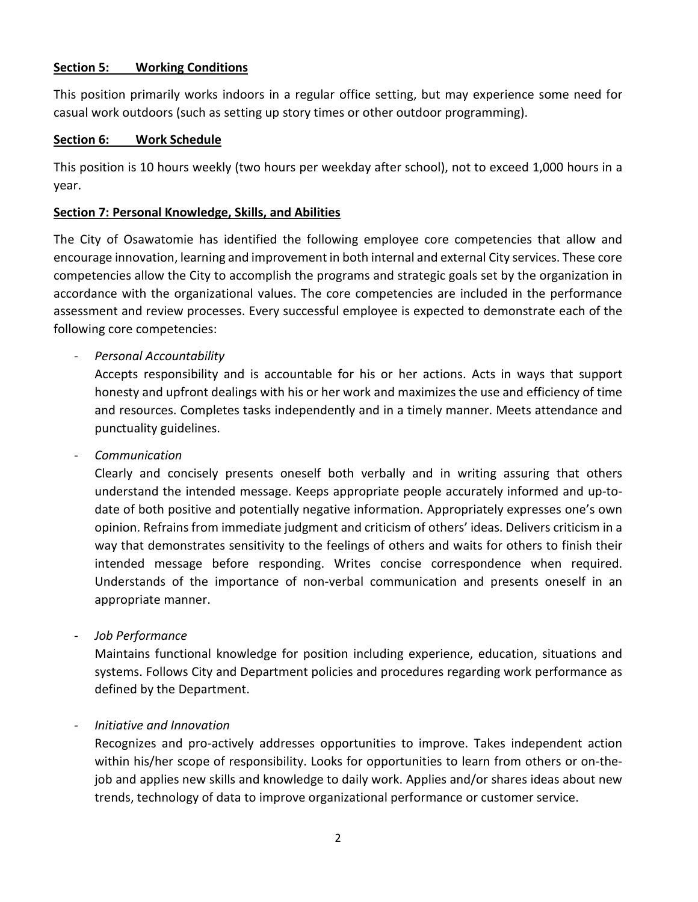### **Section 5: Working Conditions**

This position primarily works indoors in a regular office setting, but may experience some need for casual work outdoors (such as setting up story times or other outdoor programming).

### **Section 6: Work Schedule**

This position is 10 hours weekly (two hours per weekday after school), not to exceed 1,000 hours in a year.

### **Section 7: Personal Knowledge, Skills, and Abilities**

The City of Osawatomie has identified the following employee core competencies that allow and encourage innovation, learning and improvement in both internal and external City services. These core competencies allow the City to accomplish the programs and strategic goals set by the organization in accordance with the organizational values. The core competencies are included in the performance assessment and review processes. Every successful employee is expected to demonstrate each of the following core competencies:

- *Personal Accountability*

Accepts responsibility and is accountable for his or her actions. Acts in ways that support honesty and upfront dealings with his or her work and maximizes the use and efficiency of time and resources. Completes tasks independently and in a timely manner. Meets attendance and punctuality guidelines.

- *Communication*

Clearly and concisely presents oneself both verbally and in writing assuring that others understand the intended message. Keeps appropriate people accurately informed and up-todate of both positive and potentially negative information. Appropriately expresses one's own opinion. Refrains from immediate judgment and criticism of others' ideas. Delivers criticism in a way that demonstrates sensitivity to the feelings of others and waits for others to finish their intended message before responding. Writes concise correspondence when required. Understands of the importance of non-verbal communication and presents oneself in an appropriate manner.

- *Job Performance*

Maintains functional knowledge for position including experience, education, situations and systems. Follows City and Department policies and procedures regarding work performance as defined by the Department.

## - *Initiative and Innovation*

Recognizes and pro-actively addresses opportunities to improve. Takes independent action within his/her scope of responsibility. Looks for opportunities to learn from others or on-thejob and applies new skills and knowledge to daily work. Applies and/or shares ideas about new trends, technology of data to improve organizational performance or customer service.